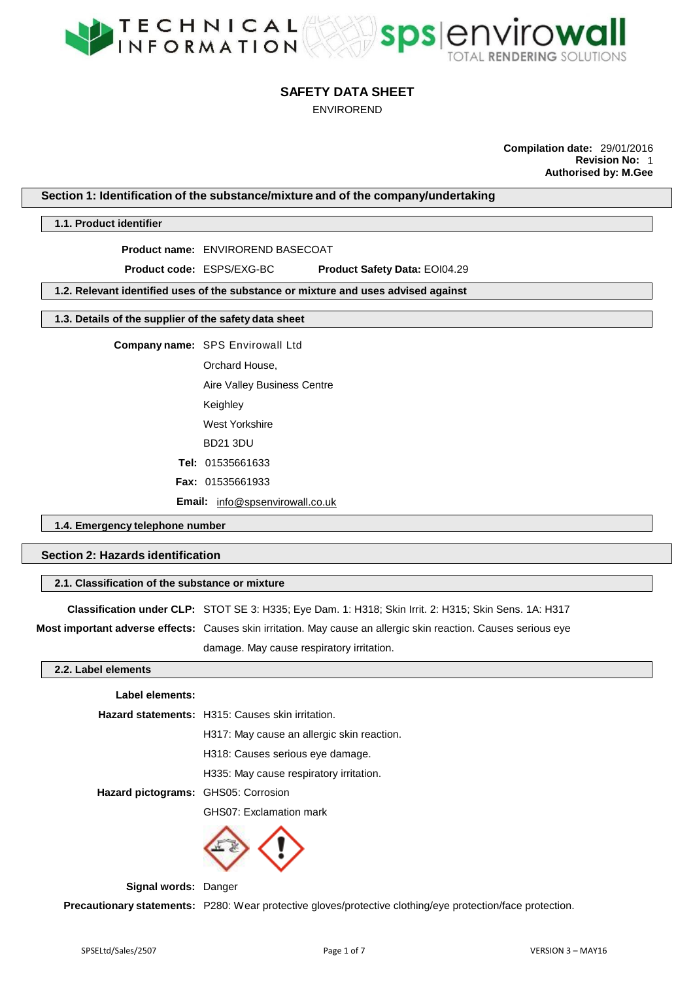

ENVIROREND

**Compilation date:** 29/01/2016 **Revision No:** 1 **Authorised by: M.Gee**

**Section 1: Identification of the substance/mixture and of the company/undertaking**

## **1.1. Product identifier**

**Product name:** ENVIROREND BASECOAT

**Product code:** ESPS/EXG-BC **Product Safety Data:** EOI04.29

**1.2. Relevant identified uses of the substance or mixture and uses advised against**

**1.3. Details of the supplier of the safety data sheet**

**Company name:** SPS Envirowall Ltd

Orchard House,

Aire Valley Business Centre Keighley West Yorkshire BD21 3DU **Tel:** 01535661633 **Fax:** 01535661933

**Email:** info@spsenvirowall.co.uk

**1.4. Emergency telephone number**

# **Section 2: Hazards identification**

## **2.1. Classification of the substance or mixture**

**Classification under CLP:** STOT SE 3: H335; Eye Dam. 1: H318; Skin Irrit. 2: H315; Skin Sens. 1A: H317

**Most important adverse effects:** Causes skin irritation. May cause an allergic skin reaction. Causes serious eye

damage. May cause respiratory irritation.

#### **2.2. Label elements**

|  | Label elements: |
|--|-----------------|
|--|-----------------|

|                                     | Hazard statements: H315: Causes skin irritation. |  |  |
|-------------------------------------|--------------------------------------------------|--|--|
|                                     | H317: May cause an allergic skin reaction.       |  |  |
|                                     | H318: Causes serious eye damage.                 |  |  |
|                                     | H335: May cause respiratory irritation.          |  |  |
| Hazard pictograms: GHS05: Corrosion |                                                  |  |  |
|                                     | GHS07: Exclamation mark                          |  |  |
|                                     |                                                  |  |  |



**Signal words:** Danger

**Precautionary statements:** P280: Wear protective gloves/protective clothing/eye protection/face protection.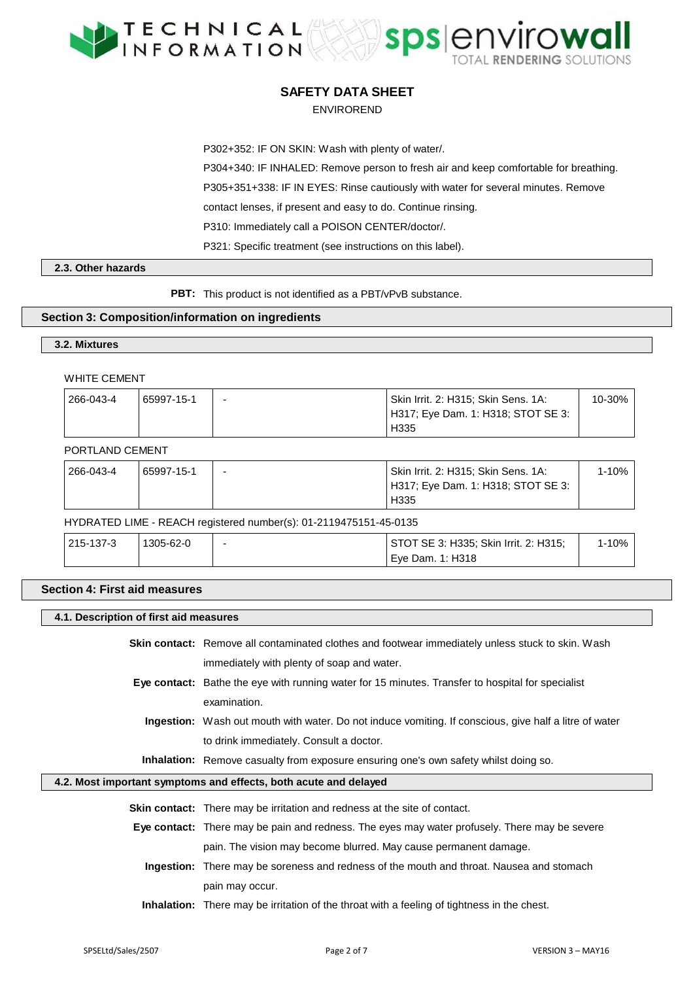



### ENVIROREND

P302+352: IF ON SKIN: Wash with plenty of water/.

P304+340: IF INHALED: Remove person to fresh air and keep comfortable for breathing.

P305+351+338: IF IN EYES: Rinse cautiously with water for several minutes. Remove

contact lenses, if present and easy to do. Continue rinsing.

P310: Immediately call a POISON CENTER/doctor/.

P321: Specific treatment (see instructions on this label).

## **2.3. Other hazards**

**PBT:** This product is not identified as a PBT/vPvB substance.

## **Section 3: Composition/information on ingredients**

## **3.2. Mixtures**

### WHITE CEMENT

| 266-043-4 | 65997-15-1 | $\overline{\phantom{0}}$ | Skin Irrit. 2: H315; Skin Sens. 1A: | 10-30% |
|-----------|------------|--------------------------|-------------------------------------|--------|
|           |            |                          | H317; Eye Dam. 1: H318; STOT SE 3:  |        |
|           |            |                          | H <sub>335</sub>                    |        |

### PORTLAND CEMENT

| 266-043-4 | 65997-15-1 | Skin Irrit. 2: H315; Skin Sens. 1A: | 1-10% |
|-----------|------------|-------------------------------------|-------|
|           |            | H317; Eye Dam. 1: H318; STOT SE 3:  |       |
|           |            | H <sub>335</sub>                    |       |

#### HYDRATED LIME - REACH registered number(s): 01-2119475151-45-0135

| 215-137-3 | 1305-62-0 | STOT SE 3: H335; Skin Irrit. 2: H315; | $-10%$ |
|-----------|-----------|---------------------------------------|--------|
|           |           | Eve Dam. 1: H318                      |        |

## **Section 4: First aid measures**

#### **4.1. Description of first aid measures**

**Skin contact:** Remove all contaminated clothes and footwear immediately unless stuck to skin. Wash immediately with plenty of soap and water.

- **Eye contact:** Bathe the eye with running water for 15 minutes. Transfer to hospital for specialist examination.
	- **Ingestion:** Wash out mouth with water. Do not induce vomiting. If conscious, give half a litre of water to drink immediately. Consult a doctor.

**Inhalation:** Remove casualty from exposure ensuring one's own safety whilst doing so.

#### **4.2. Most important symptoms and effects, both acute and delayed**

| <b>Skin contact:</b> There may be irritation and redness at the site of contact. |  |
|----------------------------------------------------------------------------------|--|
|----------------------------------------------------------------------------------|--|

- **Eye contact:** There may be pain and redness. The eyes may water profusely. There may be severe pain. The vision may become blurred. May cause permanent damage.
	- **Ingestion:** There may be soreness and redness of the mouth and throat. Nausea and stomach pain may occur.
	- **Inhalation:** There may be irritation of the throat with a feeling of tightness in the chest.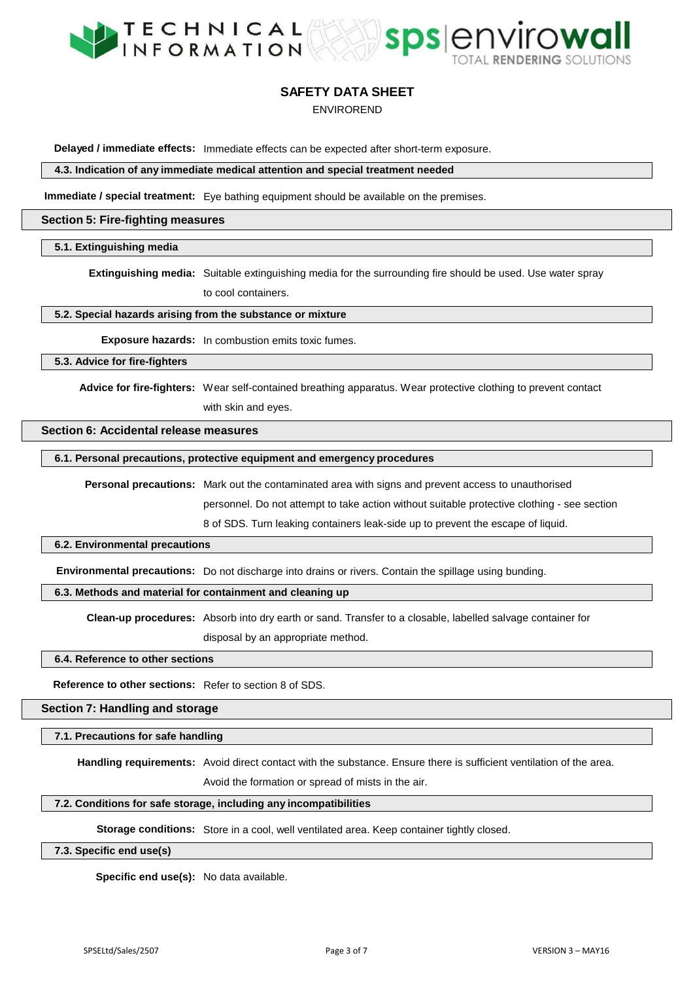



## ENVIROREND

**Delayed / immediate effects:** Immediate effects can be expected after short-term exposure.

**4.3. Indication of any immediate medical attention and special treatment needed**

**Immediate / special treatment:** Eye bathing equipment should be available on the premises.

#### **Section 5: Fire-fighting measures**

#### **5.1. Extinguishing media**

**Extinguishing media:** Suitable extinguishing media for the surrounding fire should be used. Use water spray to cool containers.

**5.2. Special hazards arising from the substance or mixture**

**Exposure hazards:** In combustion emits toxic fumes.

**5.3. Advice for fire-fighters**

**Advice for fire-fighters:** Wear self-contained breathing apparatus. Wear protective clothing to prevent contact with skin and eyes.

# **Section 6: Accidental release measures**

## **6.1. Personal precautions, protective equipment and emergency procedures**

**Personal precautions:** Mark out the contaminated area with signs and prevent access to unauthorised personnel. Do not attempt to take action without suitable protective clothing - see section

8 of SDS. Turn leaking containers leak-side up to prevent the escape of liquid.

#### **6.2. Environmental precautions**

**Environmental precautions:** Do not discharge into drains or rivers. Contain the spillage using bunding.

### **6.3. Methods and material for containment and cleaning up**

**Clean-up procedures:** Absorb into dry earth or sand. Transfer to a closable, labelled salvage container for

disposal by an appropriate method.

#### **6.4. Reference to other sections**

**Reference to other sections:** Refer to section 8 of SDS.

**Section 7: Handling and storage**

### **7.1. Precautions for safe handling**

**Handling requirements:** Avoid direct contact with the substance. Ensure there is sufficient ventilation of the area.

Avoid the formation or spread of mists in the air.

#### **7.2. Conditions for safe storage, including any incompatibilities**

**Storage conditions:** Store in a cool, well ventilated area. Keep container tightly closed.

### **7.3. Specific end use(s)**

**Specific end use(s):** No data available.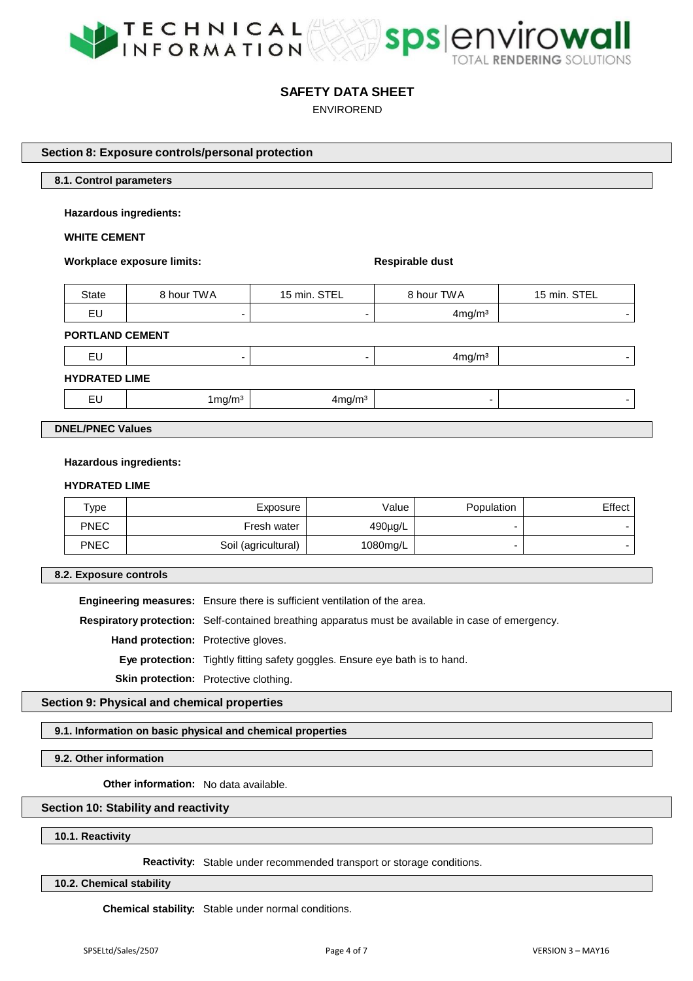



ENVIROREND

**Section 8: Exposure controls/personal protection**

### **8.1. Control parameters**

**Hazardous ingredients:** 

## **WHITE CEMENT**

**Workplace** exposure limits: **Respirable** dust

| State | 3 hour TWA | STEL<br>15 min. | 8 hour TWA         | STEL<br>15 min. |
|-------|------------|-----------------|--------------------|-----------------|
| EU    |            |                 | 4mg/m <sup>3</sup> | -               |

#### **PORTLAND CEMENT**

## **HYDRATED LIME**

| $\overline{\phantom{a}}$<br>. .<br>--<br>$\sim$ | בוזז וזו<br>. | . |  |
|-------------------------------------------------|---------------|---|--|
|                                                 |               |   |  |

**DNEL/PNEC Values**

#### **Hazardous ingredients:**

#### **HYDRATED LIME**

| $\tau_\mathsf{VDE}$ | Exposure            | Value        | Population | $E$ ffect $ $ |
|---------------------|---------------------|--------------|------------|---------------|
| <b>PNEC</b>         | Fresh water         | $490\mu g/L$ |            |               |
| <b>PNEC</b>         | Soil (agricultural) | 1080mg/L     |            |               |

**8.2. Exposure controls**

**Engineering measures:** Ensure there is sufficient ventilation of the area.

**Respiratory protection:** Self-contained breathing apparatus must be available in case of emergency.

**Hand protection:** Protective gloves.

**Eye protection:** Tightly fitting safety goggles. Ensure eye bath is to hand.

**Skin protection:** Protective clothing.

**Section 9: Physical and chemical properties**

**9.1. Information on basic physical and chemical properties**

**9.2. Other information**

**Other information:** No data available.

## **Section 10: Stability and reactivity**

**10.1. Reactivity**

**Reactivity:** Stable under recommended transport or storage conditions.

**10.2. Chemical stability**

**Chemical stability:** Stable under normal conditions.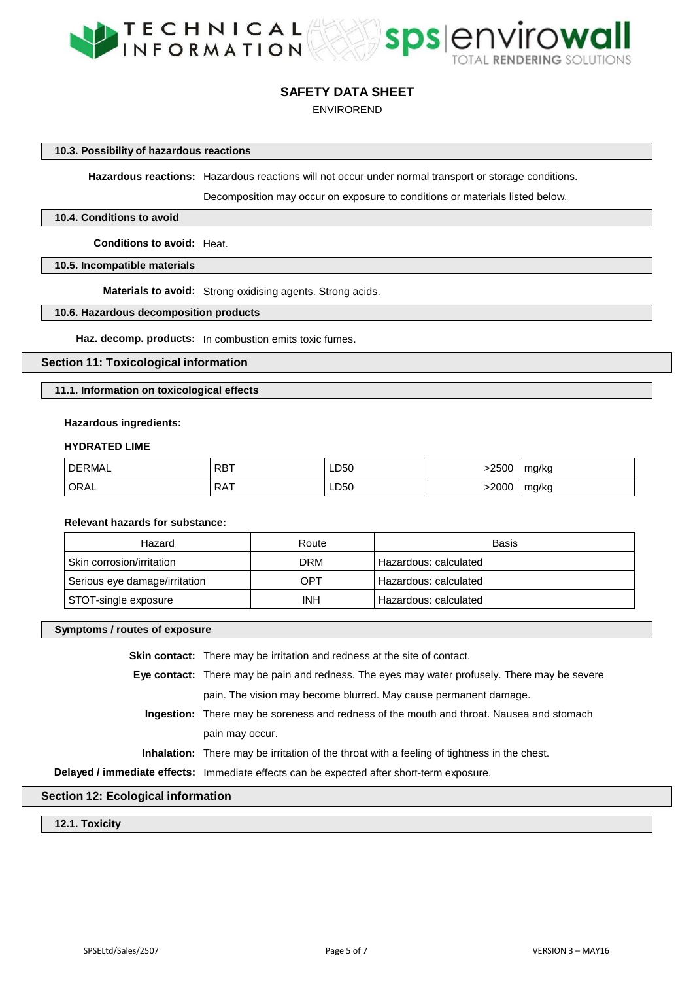



ENVIROREND

**10.3. Possibility of hazardous reactions**

**Hazardous reactions:** Hazardous reactions will not occur under normal transport or storage conditions.

Decomposition may occur on exposure to conditions or materials listed below.

## **10.4. Conditions to avoid**

**Conditions to avoid:** Heat.

**10.5. Incompatible materials**

**Materials to avoid:** Strong oxidising agents. Strong acids.

## **10.6. Hazardous decomposition products**

**Haz. decomp. products:** In combustion emits toxic fumes.

**Section 11: Toxicological information**

**11.1. Information on toxicological effects**

#### **Hazardous ingredients:**

#### **HYDRATED LIME**

| <b>DERMAL</b> | <b>RBT</b> | LD50 | -2500 | mg/kg |
|---------------|------------|------|-------|-------|
| ORAL          | <b>RAT</b> | LD50 | 2000> | mg/kg |

## **Relevant hazards for substance:**

| Hazard                        | Route      | Basis                 |
|-------------------------------|------------|-----------------------|
| Skin corrosion/irritation     | <b>DRM</b> | Hazardous: calculated |
| Serious eye damage/irritation | OPT        | Hazardous: calculated |
| STOT-single exposure          | <b>INH</b> | Hazardous: calculated |

## **Symptoms / routes of exposure**

| <b>Skin contact:</b> There may be irritation and redness at the site of contact.                   |
|----------------------------------------------------------------------------------------------------|
| Eye contact: There may be pain and redness. The eyes may water profusely. There may be severe      |
| pain. The vision may become blurred. May cause permanent damage.                                   |
| <b>Ingestion:</b> There may be soreness and redness of the mouth and throat. Nausea and stomach    |
| pain may occur.                                                                                    |
| <b>Inhalation:</b> There may be irritation of the throat with a feeling of tightness in the chest. |
| Delayed / immediate effects: Immediate effects can be expected after short-term exposure.          |

## **Section 12: Ecological information**

**12.1. Toxicity**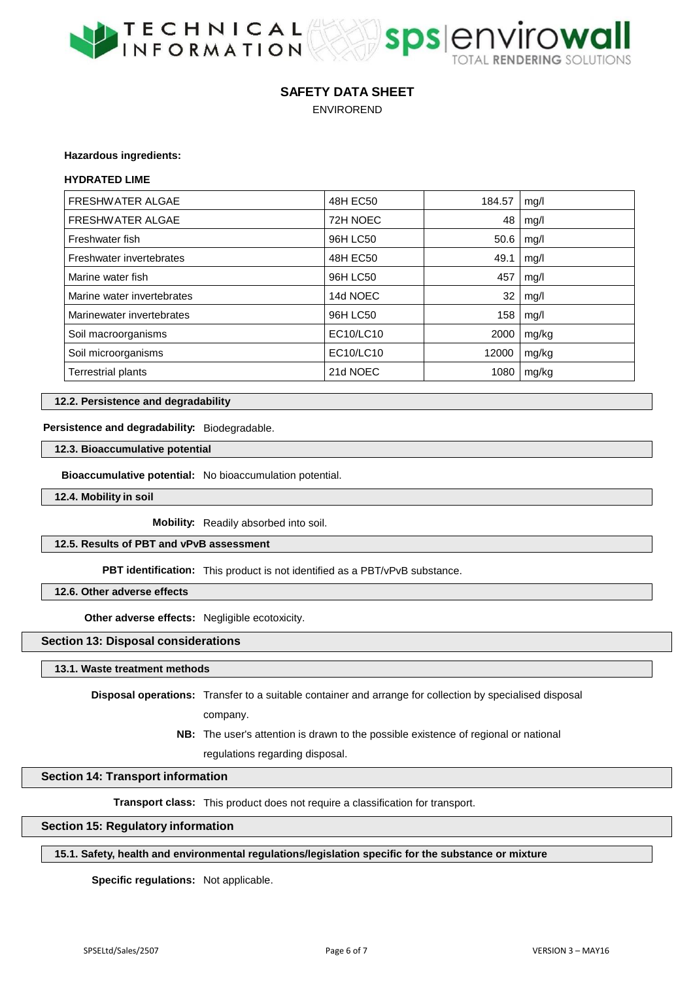



ENVIROREND

### **Hazardous ingredients:**

#### **HYDRATED LIME**

| <b>FRESHWATER ALGAE</b>    | 48H EC50  | 184.57 | mg/l  |
|----------------------------|-----------|--------|-------|
| <b>FRESHWATER ALGAE</b>    | 72H NOEC  | 48     | mg/l  |
| Freshwater fish            | 96H LC50  | 50.6   | mq/l  |
| Freshwater invertebrates   | 48H EC50  | 49.1   | mg/l  |
| Marine water fish          | 96H LC50  | 457    | mg/l  |
| Marine water invertebrates | 14d NOEC  | 32     | mg/l  |
| Marinewater invertebrates  | 96H LC50  | 158    | mg/l  |
| Soil macroorganisms        | EC10/LC10 | 2000   | mg/kg |
| Soil microorganisms        | EC10/LC10 | 12000  | mg/kg |
| <b>Terrestrial plants</b>  | 21d NOEC  | 1080   | mg/kg |

## **12.2. Persistence and degradability**

## **Persistence and degradability:** Biodegradable.

## **12.3. Bioaccumulative potential**

**Bioaccumulative potential:** No bioaccumulation potential.

**12.4. Mobility in soil**

**Mobility:** Readily absorbed into soil.

**12.5. Results of PBT and vPvB assessment**

**PBT identification:** This product is not identified as a PBT/vPvB substance.

**12.6. Other adverse effects**

**Other adverse effects:** Negligible ecotoxicity.

**Section 13: Disposal considerations**

**13.1. Waste treatment methods**

**Disposal operations:** Transfer to a suitable container and arrange for collection by specialised disposal company.

> **NB:** The user's attention is drawn to the possible existence of regional or national regulations regarding disposal.

## **Section 14: Transport information**

**Transport class:** This product does not require a classification for transport.

## **Section 15: Regulatory information**

## **15.1. Safety, health and environmental regulations/legislation specific for the substance or mixture**

**Specific regulations:** Not applicable.